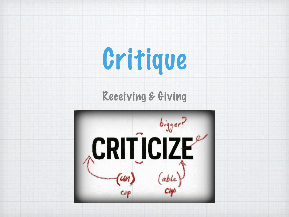# Critique

#### Receiving & Giving

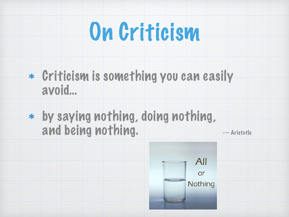

- Criticism is something you can easily avoid…
- by saying nothing, doing nothing, and being nothing. The external state

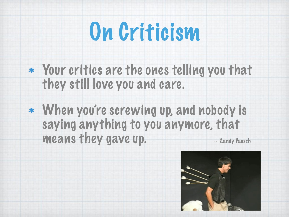

- Your critics are the ones telling you that they still love you and care.
- When you're screwing up, and nobody is saying anything to you anymore, that means they gave up.  $-$  Randy Pausch

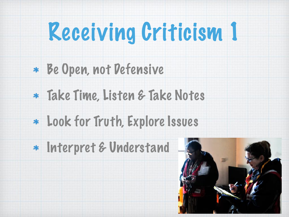# Receiving Criticism 1

- Be Open, not Defensive
- Take Time, Listen & Take Notes
- Look for Truth, Explore Issues
- Interpret & Understand

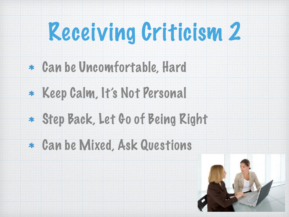# Receiving Criticism 2

- Can be Uncomfortable, Hard
- Keep Calm, It's Not Personal
- Step Back, Let Go of Being Right
- Can be Mixed, Ask Questions

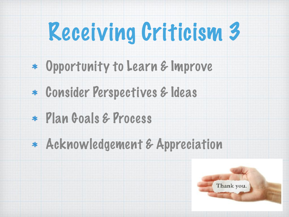# Receiving Criticism 3

- Opportunity to Learn & Improve
- Consider Perspectives & Ideas
- Plan Goals & Process
- Acknowledgement & Appreciation

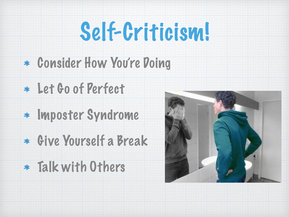#### Self-Criticism!

#### Consider How You're Doing

- Let Go of Perfect
- \* Imposter Syndrome
- Give Yourself a Break
- Talk with Others

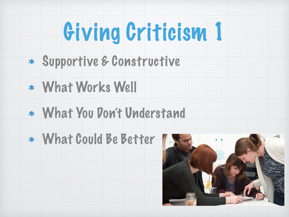# Giving Criticism 1

- Supportive & Constructive
- What Works Well
- What You Don't Understand
- What Could Be Better

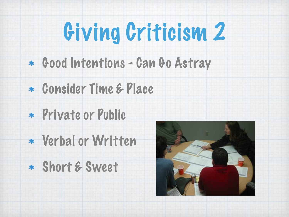# Giving Criticism 2

- Good Intentions Can Go Astray
- Consider Time & Place
- Private or Public
- Verbal or Written
- Short & Sweet

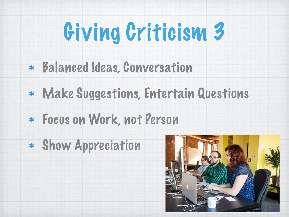## Giving Criticism 3

- Balanced Ideas, Conversation
- Make Suggestions, Entertain Questions
- Focus on Work, not Person
- Show Appreciation

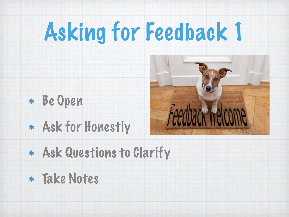# Asking for Feedback 1



Ask for Honestly



- Ask Questions to Clarify
- Take Notes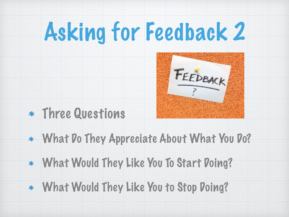## Asking for Feedback 2



- Three Questions
- What Do They Appreciate About What You Do?
- What Would They Like You To Start Doing?
- What Would They Like You to Stop Doing?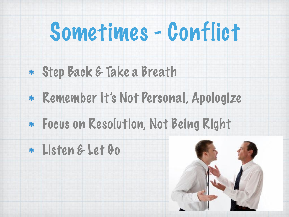#### Sometimes - Conflict

- Step Back & Take a Breath
- Remember It's Not Personal, Apologize
- Focus on Resolution, Not Being Right
- Listen & Let Go

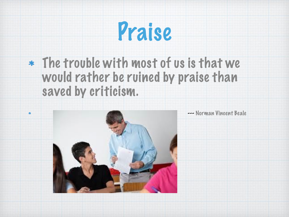

#### The trouble with most of us is that we would rather be ruined by praise than saved by criticism.



 $\ast$ 

--- Norman Vincent Beale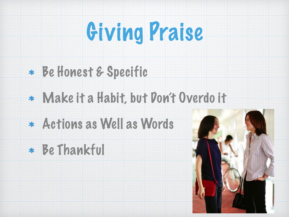

- Be Honest & Specific
- Make it a Habit, but Don't Overdo it
- Actions as Well as Words
- Be Thankful

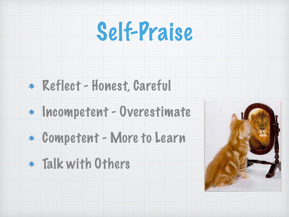

#### Reflect - Honest, Careful

- Incompetent Overestimate
- Competent More to Learn
- Talk with Others

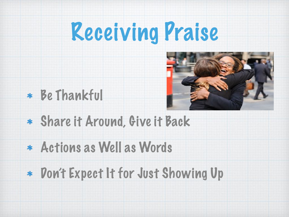#### Receiving Praise





- Share it Around, Give it Back
- Actions as Well as Words
- Don't Expect It for Just Showing Up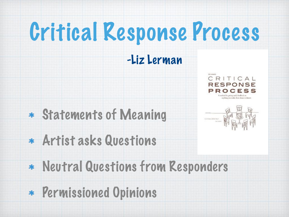## Critical Response Process

#### -Liz Lerman

Statements of Meaning





- Artist asks Questions
- Neutral Questions from Responders
- Permissioned Opinions